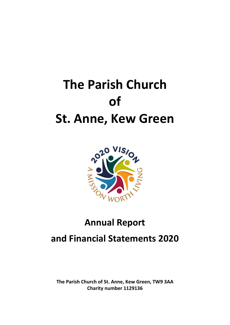# **The Parish Church of St. Anne, Kew Green**



# **Annual Report**

# **and Financial Statements 2020**

**The Parish Church of St. Anne, Kew Green, TW9 3AA Charity number 1129136**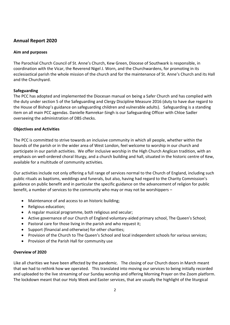# **Annual Report 2020**

# **Aim and purposes**

The Parochial Church Council of St. Anne's Church, Kew Green, Diocese of Southwark is responsible, in coordination with the Vicar, the Reverend Nigel J. Worn, and the Churchwardens, for promoting in its ecclesiastical parish the whole mission of the church and for the maintenance of St. Anne's Church and its Hall and the Churchyard.

# **Safeguarding**

The PCC has adopted and implemented the Diocesan manual on being a Safer Church and has complied with the duty under section 5 of the Safeguarding and Clergy Discipline Measure 2016 (duty to have due regard to the House of Bishop's guidance on safeguarding children and vulnerable adults). Safeguarding is a standing item on all main PCC agendas. Danielle Ramrekar-Singh is our Safeguarding Officer with Chloe Sadler overseeing the administration of DBS checks.

# **Objectives and Activities**

The PCC is committed to strive towards an inclusive community in which all people, whether within the bounds of the parish or in the wider area of West London, feel welcome to worship in our church and participate in our parish activities. We offer inclusive worship in the High Church Anglican tradition, with an emphasis on well-ordered choral liturgy, and a church building and hall, situated in the historic centre of Kew, available for a multitude of community activities.

Our activities include not only offering a full range of services normal to the Church of England, including such public rituals as baptisms, weddings and funerals, but also, having had regard to the Charity Commission's guidance on public benefit and in particular the specific guidance on the advancement of religion for public benefit, a number of services to the community who may or may not be worshippers –

- Maintenance of and access to an historic building;
- Religious education;
- A regular musical programme, both religious and secular;
- Active governance of our Church of England voluntary-aided primary school, The Queen's School;
- Pastoral care for those living in the parish and who request it;
- Support (financial and otherwise) for other charities;
- Provision of the Church to The Queen's School and local independent schools for various services;
- Provision of the Parish Hall for community use

#### **Overview of 2020**

Like all charities we have been affected by the pandemic. The closing of our Church doors in March meant that we had to rethink how we operated. This translated into moving our services to being initially recorded and uploaded to the live streaming of our Sunday worship and offering Morning Prayer on the Zoom platform. The lockdown meant that our Holy Week and Easter services, that are usually the highlight of the liturgical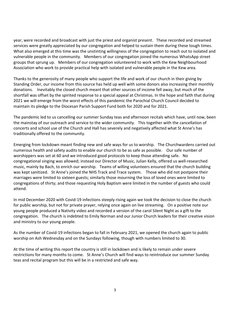year, were recorded and broadcast with just the priest and organist present. These recorded and streamed services were greatly appreciated by our congregation and helped to sustain them during these tough times. What also emerged at this time was the unstinting willingness of the congregation to reach out to isolated and vulnerable people in the community. Members of our congregation joined the numerous WhatsApp street groups that sprung up. Members of our congregation volunteered to work with the Kew Neighbourhood Association who work to provide practical help with isolated and vulnerable people in the Kew area.

Thanks to the generosity of many people who support the life and work of our church in their giving by Standing Order, our income from this source has held up well with some donors also increasing their monthly donations. Inevitably the closed church meant that other sources of income fell away, but much of the shortfall was offset by the spirited response to a special appeal at Christmas. In the hope and faith that during 2021 we will emerge from the worst effects of this pandemic the Parochial Church Council decided to maintain its pledge to the Diocesan Parish Support Fund both for 2020 and for 2021.

The pandemic led to us cancelling our summer Sunday teas and afternoon recitals which have, until now, been the mainstay of our outreach and service to the wider community. This together with the cancellation of concerts and school use of the Church and Hall has severely and negatively affected what St Anne's has traditionally offered to the community.

Emerging from lockdown meant finding new and safe ways for us to worship. The Churchwardens carried out numerous health and safety audits to enable our church to be as safe as possible. Our safe number of worshippers was set at 60 and we introduced good protocols to keep those attending safe. No congregational singing was allowed; instead our Director of Music, Julian Kelly, offered us well-researched music, mainly by Bach, to enrich our worship. Teams of willing volunteers ensured that the church building was kept sanitized. St Anne's joined the NHS Track and Trace system. Those who did not postpone their marriages were limited to sixteen guests; similarly those mourning the loss of loved ones were limited to congregations of thirty; and those requesting Holy Baptism were limited in the number of guests who could attend.

In mid December 2020 with Covid-19 infections steeply rising again we took the decision to close the church for public worship, but not for private prayer, relying once again on live streaming. On a positive note our young people produced a Nativity video and recorded a version of the carol Silent Night as a gift to the congregation. The church is indebted to Emily Norman and our Junior Church leaders for their creative vision and ministry to our young people.

As the number of Covid-19 infections began to fall in February 2021, we opened the church again to public worship on Ash Wednesday and on the Sundays following, though with numbers limited to 30.

At the time of writing this report the country is still in lockdown and is likely to remain under severe restrictions for many months to come. St Anne's Church will find ways to reintroduce our summer Sunday teas and recital program but this will be in a restricted and safe way.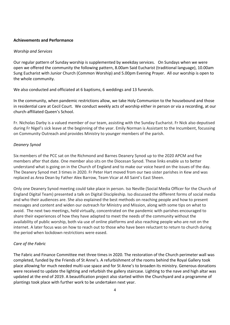#### **Achievements and Performance**

# *Worship and Services*

Our regular pattern of Sunday worship is supplemented by weekday services. On Sundays when we were open we offered the community the following pattern, 8.00am Said Eucharist (traditional language), 10.00am Sung Eucharist with Junior Church (Common Worship) and 5.00pm Evening Prayer. All our worship is open to the whole community.

We also conducted and officiated at 6 baptisms, 6 weddings and 13 funerals.

In the community, when pandemic restrictions allow, we take Holy Communion to the housebound and those in residential care at Cecil Court. We conduct weekly acts of worship either in person or via a recording, at our church-affiliated Queen's School.

Fr. Nicholas Darby is a valued member of our team, assisting with the Sunday Eucharist. Fr Nick also deputised during Fr Nigel's sick leave at the beginning of the year. Emily Norman is Assistant to the Incumbent, focussing on Community Outreach and provides Ministry to younger members of the parish.

# *Deanery Synod*

Six members of the PCC sat on the Richmond and Barnes Deanery Synod up to the 2020 APCM and five members after that date. One member also sits on the Diocesan Synod. These links enable us to better understand what is going on in the Church of England and to make our voice heard on the issues of the day. The Deanery Synod met 3 times in 2020. Fr Peter Hart moved from our two sister parishes in Kew and was replaced as Area Dean by Father Alex Barrow, Team Vicar at All Saint's East Sheen.

Only one Deanery Synod meeting could take place in person. Iso Neville (Social Media Officer for the Church of England Digital Team) presented a talk on Digital Discipleship. Iso discussed the different forms of social media and who their audiences are. She also explained the best methods on reaching people and how to present messages and content and widen our outreach for Ministry and Mission, along with some tips on what to avoid. The next two meetings, held virtually, concentrated on the pandemic with parishes encouraged to share their experiences of how they have adapted to meet the needs of the community without the availability of public worship, both via use of online platforms and also reaching people who are not on the internet. A later focus was on how to reach out to those who have been reluctant to return to church during the period when lockdown restrictions were eased.

# *Care of the Fabric*

The Fabric and Finance Committee met three times in 2020. The restoration of the Church perimeter wall was completed, funded by the Friends of St Anne's. A refurbishment of the rooms behind the Royal Gallery took place allowing for much needed multi-use space and for St Anne's to broaden its ministry. Generous donations were received to update the lighting and refurbish the gallery staircase. Lighting to the nave and high altar was updated at the end of 2019. A beautification project also started within the Churchyard and a programme of plantings took place with further work to be undertaken next year.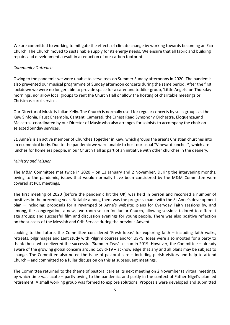We are committed to working to mitigate the effects of climate change by working towards becoming an Eco Church. The Church moved to sustainable supply for its energy needs. We ensure that all fabric and building repairs and developments result in a reduction of our carbon footprint.

# *Community Outreach*

Owing to the pandemic we were unable to serve teas on Summer Sunday afternoons in 2020. The pandemic also prevented our musical programme of Sunday afternoon concerts during the same period. After the first lockdown we were no longer able to provide space for a carer and toddler group, 'Little Angels' on Thursday mornings, nor allow local groups to rent the Church Hall or allow the hosting of charitable meetings or Christmas carol services.

Our Director of Music is Julian Kelly. The Church is normally used for regular concerts by such groups as the Kew Sinfonia, Faust Ensemble, Cantanti Camerati, the Ernest Read Symphony Orchestra, Eloquenza,and Maiastra, coordinated by our Director of Music who also arranges for soloists to accompany the choir on selected Sunday services.

St. Anne's is an active member of Churches Together in Kew, which groups the area's Christian churches into an ecumenical body. Due to the pandemic we were unable to host our usual "Vineyard lunches", which are lunches for homeless people, in our Church Hall as part of an initiative with other churches in the deanery.

# *Ministry and Mission*

The M&M Committee met twice in 2020 – on 13 January and 2 November. During the intervening months, owing to the pandemic, issues that would normally have been considered by the M&M Committee were covered at PCC meetings.

The first meeting of 2020 (before the pandemic hit the UK) was held in person and recorded a number of positives in the preceding year. Notable among them was the progress made with the St Anne's development plan – including: proposals for a revamped St Anne's website; plans for Everyday Faith sessions by, and among, the congregation; a new, two-room set-up for Junior Church, allowing sessions tailored to different age groups; and successful film and discussion evenings for young people. There was also positive reflection on the success of the Messiah and Crib Service during the previous Advent.

Looking to the future, the Committee considered 'Fresh Ideas' for exploring faith – including faith walks, retreats, pilgrimages and Lent study with Pilgrim courses and/or USPG. Ideas were also mooted for a party to thank those who delivered the successful 'Summer Teas' season in 2019. However, the Committee – already aware of the growing global concern around Covid-19 – acknowledge that any and all plans may be subject to change. The Committee also noted the issue of pastoral care – including parish visitors and help to attend Church – and committed to a fuller discussion on this at subsequent meetings.

The Committee returned to the theme of pastoral care at its next meeting on 2 November (a virtual meeting), by which time was acute – partly owing to the pandemic, and partly in the context of Father Nigel's planned retirement. A small working group was formed to explore solutions. Proposals were developed and submitted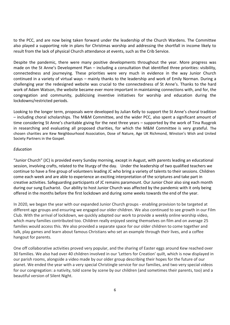to the PCC, and are now being taken forward under the leadership of the Church Wardens. The Committee also played a supporting role in plans for Christmas worship and addressing the shortfall in income likely to result from the lack of physical Church attendance at events, such as the Crib Service.

Despite the pandemic, there were many positive developments throughout the year. More progress was made on the St Anne's Development Plan – including a consultation that identified three priorities: visibility, connectedness and journeying. These priorities were very much in evidence in the way Junior Church continued in a variety of virtual ways – mainly thanks to the leadership and work of Emily Norman. During a challenging year the redesigned website was crucial to the connectedness of St Anne's. Thanks to the hard work of Adam Watson, the website became ever more important in maintaining connections with, and for, the congregation and community, publicising inventive initiatives for worship and education during the lockdowns/restricted periods.

Looking to the longer term, proposals were developed by Julian Kelly to support the St Anne's choral tradition – including choral scholarships. The M&M Committee, and the wider PCC, also spent a significant amount of time considering St Anne's charitable giving for the next three years – supported by the work of Tina Ruygrok in researching and evaluating all proposed charities, for which the M&M Committee is very grateful. The chosen charities are Kew Neighbourhood Association, Dose of Nature, Age UK Richmond, Winston's Wish and United Society Partners in the Gospel.

# *Education*

"Junior Church" (JC) is provided every Sunday morning, except in August, with parents leading an educational session, involving crafts, related to the liturgy of the day. Under the leadership of two qualified teachers we continue to have a fine group of volunteers leading JC who bring a variety of talents to their sessions. Children come each week and are able to experience an exciting interpretation of the scriptures and take part in creative activities. Safeguarding participants of JC remains paramount. Our Junior Choir also sing each month during our sung Eucharist. Our ability to host Junior Church was affected by the pandemic with it only being offered in the months before the first lockdown and during some weeks towards the end of the year.

In 2020, we began the year with our expanded Junior Church groups - enabling provision to be targeted at different age groups and ensuring we engaged our older children. We also continued to see growth in our Film Club. With the arrival of lockdown, we quickly adapted our work to provide a weekly online worship video, which many families contributed too. Children really enjoyed seeing themselves on film and on average 25 families would access this. We also provided a separate space for our older children to come together and talk, play games and learn about famous Christians who set an example through their lives, and a coffee hangout for parents.

One off collaborative activities proved very popular, and the sharing of Easter eggs around Kew reached over 30 families. We also had over 40 children involved in our 'Letters for Creation' quilt, which is now displayed in our parish rooms, alongside a video made by our older group describing their hopes for the future of our planet. We ended the year with a very special Christingle service for our families, and two very special videos for our congregation: a nativity, told scene by scene by our children (and sometimes their parents, too) and a beautiful version of Silent Night.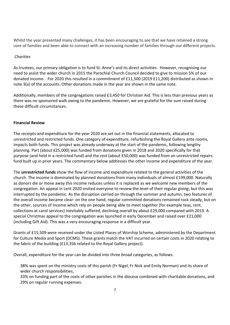Whilst the year presented many challenges, it has been encouraging to see that we have retained a strong core of families and been able to connect with an increasing number of families through our different projects.

# *Charities*

As trustees, our primary obligation is to fund St. Anne's and its direct activities. However, recognising our need to assist the wider church in 2015 the Parochial Church Council decided to give to mission 5% of our donated income. For 2020 this resulted in a commitment of £11,500 (2019 £11,200) distributed as shown in note 3(a) of the accounts. Other donations made in the year are shown in the same note.

Additionally, members of the congregations raised £3,450 for Christian Aid. This is less than previous years as there was no sponsored walk owing to the pandemic. However, we are grateful for the sum raised during these difficult circumstances.

#### **Financial Review**

The receipts and expenditure for the year 2020 are set out in the financial statements, allocated to unrestricted and restricted funds. One category of expenditure, refurbishing the Royal Gallery ante rooms, impacts both funds. This project was already underway at the start of the pandemic, following lengthy planning. Part (about £25,000) was funded from donations given in 2018 and 2020 specifically for that purpose (and held in a restricted fund) and the rest (about £50,000) was funded from an unrestricted repairs fund built up in prior years. The commentary below addresses the other income and expenditure of the year.

The **unrestricted funds** show the flow of income and expenditure related to the general activities of the church. The income is dominated by planned donations from many individuals of almost £199,000. Naturally as donors die or move away this income reduces unless it is replaced as we welcome new members of the congregation. An appeal in Lent 2020 invited everyone to review the level of their regular giving, but this was interrupted by the pandemic. As the disruption carried on through the summer and autumn, two features of the overall income became clear: on the one hand, regular committed donations remained rock steady, but on the other, sources of income which rely on people being able to meet together (for example teas, rent, collections at carol services) inevitably suffered, declining overall by about £29,000 compared with 2019. A special Christmas appeal to the congregation was launched in early December and raised over £21,000 (including Gift Aid). This was a very encouraging response in a difficult year.

Grants of £15,509 were received under the Listed Places of Worship Scheme, administered by the Department for Culture Media and Sport (DCMS). These grants match the VAT incurred on certain costs in 2020 relating to the fabric of the building (£13,356 related to the Royal Gallery project).

Overall, expenditure for the year can be divided into three broad categories, as follows:

38% was spent on the ministry costs of this parish (Fr Nigel, Fr Nick and Emily Norman) and its share of wider church responsibilities,

33% on funding part of the costs of other parishes in the diocese combined with charitable donations, and 29% on regular running expenses.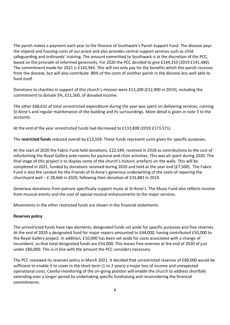The parish makes a payment each year to the Diocese of Southwark's Parish Support Fund. The diocese pays the stipend and housing costs of our priest and also provides central support services such as child safeguarding and ordinands' training. The amount committed to Southwark is at the discretion of the PCC, based on the principle of informed generosity. For 2020 the PCC decided to give £144,310 (2019 £141,480). The commitment made for 2021 is £142,943. This will not only pay for the benefits which this parish receives from the diocese, but will also contribute 80% of the costs of another parish in the diocese less well able to fund itself.

Donations to charities in support of this church's mission were £13,200 (£12,900 in 2019), including the commitment to donate 5%, £11,500, of donated income.

The other £68,632 of total unrestricted expenditure during the year was spent on delivering services, running St Anne's and regular maintenance of the building and its surroundings. More detail is given in note 3 to the accounts.

At the end of the year unrestricted funds had decreased to £133,808 (2019 £173,571).

The **restricted funds** reduced overall by £13,558. These funds represent sums given for specific purposes.

At the start of 2020 the Fabric Fund held donations, £22,549, received in 2018 as contributions to the cost of refurbishing the Royal Gallery ante rooms for pastoral and choir activities. This was all spent during 2020. The final stage of this project is to display some of the church's historic artefacts on the walls. This will be completed in 2021, funded by donations received during 2020 and held at the year end (£7,500). The Fabric Fund is also the conduit for the Friends of St Anne's generous underwriting of the costs of repairing the churchyard wall – £ 28,666 in 2020, following their donation of £33,883 in 2019.

Generous donations from patrons specifically support music at St Anne's. The Music Fund also reflects income from musical events and the cost of special musical enhancements to the major services.

Movements in the other restricted funds are shown in the financial statements.

# **Reserves policy**

The unrestricted funds have two elements: designated funds set aside for specific purposes and free reserves. At the end of 2020 a designated fund for major repairs amounted to £44,000, having contributed £50,000 to the Royal Gallery project. In addition, £10,000 has been set aside for costs associated with a change of incumbent, so that total designated funds are £54,000. This leaves free reserves at the end of 2020 of just under £80,000. This is in line with the amount the PCC considers necessary.

The PCC reviewed its reserves policy in March 2021. It decided that unrestricted reserves of £80,000 would be sufficient to enable it to cover in the short term (1 to 2 years) a major loss of income and unexpected operational costs. Careful monitoring of the on-going position will enable the church to address shortfalls extending over a longer period by undertaking specific fundraising and reconsidering the financial commitments.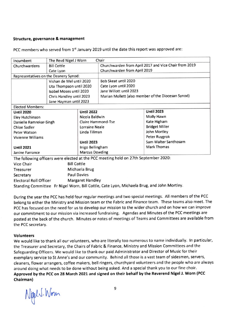#### Structure, governance & management

PCC members who served from 1<sup>st</sup> January 2019 until the date this report was approved are:

| Incumbent                             | The Revd Nigel J Worn                                                               |                              | Chair                                                 |                                                    |  |
|---------------------------------------|-------------------------------------------------------------------------------------|------------------------------|-------------------------------------------------------|----------------------------------------------------|--|
| Churchwardens                         | <b>Bill Cottle</b>                                                                  |                              | Churchwarden from April 2017 and Vice Chair from 2019 |                                                    |  |
| Cate Lyon                             |                                                                                     | Churchwarden from April 2019 |                                                       |                                                    |  |
| Representatives on the Deanery Synod: |                                                                                     |                              |                                                       |                                                    |  |
|                                       | Vishan de Mel until 2020                                                            |                              | Bob Skeat until 2020                                  |                                                    |  |
|                                       | Uta Thompson until 2020                                                             |                              | Cate Lyon until 2020                                  |                                                    |  |
|                                       | Isobel Moses until 2020                                                             |                              | Jane Willott until 2023                               |                                                    |  |
|                                       | Chris Handley until 2023                                                            |                              |                                                       | Marian Mollett (also member of the Diocesan Synod) |  |
|                                       | Jane Hayman until 2023                                                              |                              |                                                       |                                                    |  |
| <b>Elected Members:</b>               |                                                                                     |                              |                                                       |                                                    |  |
| <b>Until 2020</b>                     |                                                                                     | <b>Until 2022</b>            |                                                       | <b>Until 2023</b>                                  |  |
| <b>Eley Hutchinson</b>                |                                                                                     | Nicola Baldwin               |                                                       | Molly Hawn                                         |  |
| Danielle Ramrekar-Singh               |                                                                                     | Claire Hammond-Tse           |                                                       | Kate Higham                                        |  |
| <b>Chloe Sadler</b>                   |                                                                                     | <b>Lorraine Neale</b>        |                                                       | <b>Bridget Miller</b>                              |  |
| Peter Watson                          |                                                                                     | Linda Tillman                |                                                       | John Mortley                                       |  |
| <b>Vivienne Williams</b>              |                                                                                     |                              |                                                       | Peter Ruygrok                                      |  |
|                                       |                                                                                     | <b>Until 2023</b>            |                                                       | Sam Walter Santhosam                               |  |
| <b>Until 2021</b>                     |                                                                                     | Inigo Bellingham             |                                                       | <b>Mark Thomas</b>                                 |  |
| Janine Farrance                       |                                                                                     | <b>Marcus Dowding</b>        |                                                       |                                                    |  |
|                                       | The following officers were elected at the PCC meeting held on 27th September 2020: |                              |                                                       |                                                    |  |
| Vice Chair                            | <b>Bill Cottle</b>                                                                  |                              |                                                       |                                                    |  |
| Treasurer                             |                                                                                     | Michaela Brug                |                                                       |                                                    |  |

**Paul Davies** Secretary **Electoral Roll Officer Margaret Handley** Standing Committee Fr Nigel Worn, Bill Cottle, Cate Lyon, Michaela Brug, and John Mortley.

During the year the PCC has held four regular meetings and two special meetings. All members of the PCC belong to either the Ministry and Mission team or the Fabric and Finance team. These teams also meet. The PCC has focused on the need for us to develop our mission to the wider church and on how we can improve our commitment to our mission via increased fundraising. Agendas and Minutes of the PCC meetings are posted at the back of the church. Minutes or notes of meetings of Teams and Committees are available from the PCC secretary.

# **Volunteers**

We would like to thank all our volunteers, who are literally too numerous to name individually. In particular, the Treasurer and Secretary, the Chairs of Fabric & Finance, Ministry and Mission Committees and the Safeguarding Officers. We would like to thank our paid Administrator and Director of Music for their exemplary service to St Anne's and our community. Behind all those is a vast team of sidesmen, servers, cleaners, flower arrangers, coffee makers, bell ringers, churchyard volunteers and the people who are always around doing what needs to be done without being asked. And a special thank you to our fine choir. Approved by the PCC on 28 March 2021 and signed on their behalf by the Reverend Nigel J. Worn (PCC Chairman)

NigelJ. Won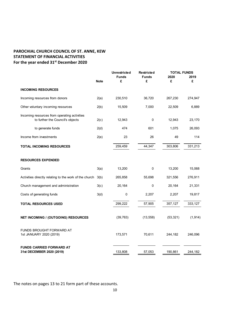# **PAROCHIAL CHURCH COUNCIL OF ST. ANNE, KEW STATEMENT OF FINANCIAL ACTIVITIES For the year ended 31st December 2020**

|                                                                                  | <b>Note</b> | <b>Unrestricted</b><br><b>Funds</b><br>£ | <b>Restricted</b><br><b>Funds</b><br>£ | <b>TOTAL FUNDS</b><br>2020<br>£ | 2019<br>£ |
|----------------------------------------------------------------------------------|-------------|------------------------------------------|----------------------------------------|---------------------------------|-----------|
| <b>INCOMING RESOURCES</b>                                                        |             |                                          |                                        |                                 |           |
| Incoming resources from donors                                                   | 2(a)        | 230,510                                  | 36,720                                 | 267,230                         | 274,947   |
| Other voluntary incoming resources                                               | 2(b)        | 15,509                                   | 7,000                                  | 22,509                          | 6,889     |
| Incoming resources from operating activities<br>to further the Council's objects | 2(c)        | 12,943                                   | 0                                      | 12,943                          | 23,170    |
| to generate funds                                                                | 2(d)        | 474                                      | 601                                    | 1,075                           | 26,093    |
| Income from investments                                                          | 2(e)        | 23                                       | 26                                     | 49                              | 114       |
| <b>TOTAL INCOMING RESOURCES</b>                                                  |             | 259,459                                  | 44,347                                 | 303,806                         | 331,213   |
| <b>RESOURCES EXPENDED</b>                                                        |             |                                          |                                        |                                 |           |
| Grants                                                                           | 3(a)        | 13,200                                   | 0                                      | 13,200                          | 15,068    |
| Activities directly relating to the work of the church                           | 3(b)        | 265,858                                  | 55,698                                 | 321,556                         | 276,911   |
| Church management and administration                                             | 3(c)        | 20,164                                   | $\mathbf 0$                            | 20,164                          | 21,331    |
| Costs of generating funds                                                        | 3(d)        | 0                                        | 2,207                                  | 2,207                           | 19,817    |
| <b>TOTAL RESOURCES USED</b>                                                      |             | 299,222                                  | 57,905                                 | 357,127                         | 333,127   |
| NET INCOMING / (OUTGOING) RESOURCES                                              |             | (39, 763)                                | (13, 558)                              | (53, 321)                       | (1, 914)  |
| FUNDS BROUGHT FORWARD AT<br>1st JANUARY 2020 (2019)                              |             | 173,571                                  | 70,611                                 | 244,182                         | 246,096   |
| <b>FUNDS CARRIED FORWARD AT</b><br>31st DECEMBER 2020 (2019)                     |             | 133,808                                  | 57,053                                 | 190,861                         | 244,182   |

The notes on pages 13 to 21 form part of these accounts.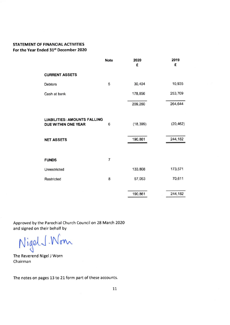# STATEMENT OF FINANCIAL ACTIVITIES For the Year Ended 31st December 2020

|                                                            | <b>Note</b> | 2020      | 2019      |
|------------------------------------------------------------|-------------|-----------|-----------|
|                                                            |             | £         | £         |
| <b>CURRENT ASSETS</b>                                      |             |           |           |
| <b>Debtors</b>                                             | 5           | 30,404    | 10,935    |
| Cash at bank                                               |             | 178,856   | 253,709   |
|                                                            |             | 209,260   | 264,644   |
| <b>LIABILITIES: AMOUNTS FALLING</b><br>DUE WITHIN ONE YEAR | 6           | (18, 399) | (20, 462) |
| <b>NET ASSETS</b>                                          |             | 190,861   | 244,182   |
|                                                            |             |           |           |
| <b>FUNDS</b>                                               | 7           |           |           |
| Unrestricted                                               |             | 133,808   | 173,571   |
| Restricted                                                 | 8           | 57,053    | 70,611    |
|                                                            |             |           |           |
|                                                            |             | 190,861   | 244,182   |

Approved by the Parochial Church Council on 28 March 2020 and signed on their behalf by

Nigel J. Wonn

The Reverend Nigel J Worn Chairman

The notes on pages 13 to 21 form part of these accounts.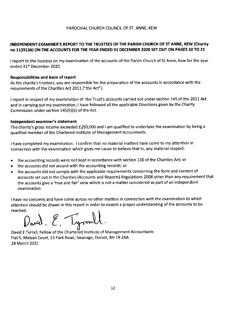# INDEPENDENT EXAMINER'S REPORT TO THE TRUSTEES OF THE PARISH CHURCH OF ST ANNE, KEW (Charity no 1129136) ON THE ACCOUNTS FOR THE YEAR ENDED 31 DECEMBER 2020 SET OUT ON PAGES 10 TO 21

I report to the trustees on my examination of the accounts of the Parish Church of St Anne, Kew for the year ended 31<sup>st</sup> December 2020.

# **Responsibilities and basis of report**

As the charity's trustees, you are responsible for the preparation of the accounts in accordance with the requirements of the Charities Act 2011 ("the Act").

I report in respect of my examination of the Trust's accounts carried out under section 145 of the 2011 Act and in carrying out my examination, I have followed all the applicable Directions given by the Charity Commission under section 145(5)(b) of the Act.

# Independent examiner's statement

The charity's gross income exceeded £250,000 and I am qualified to undertake the examination by being a qualified member of the Chartered Institute of Management Accountants.

I have completed my examination. I confirm that no material matters have come to my attention in connection with the examination which gives me cause to believe that in, any material respect:

- the accounting records were not kept in accordance with section 130 of the Charities Act; or  $\bullet$
- the accounts did not accord with the accounting records; or  $\bullet$
- the accounts did not comply with the applicable requirements concerning the form and content of  $\bullet$ accounts set out in the Charities (Accounts and Reports) Regulations 2008 other than any requirement that the accounts give a 'true and fair' view which is not a matter considered as part of an independent examination.

I have no concerns and have come across no other matters in connection with the examination to which attention should be drawn in this report in order to enable a proper understanding of the accounts to be reached.

David. E. Tyrrall

David E Tyrrall, Fellow of the Chartered Institute of Management Accountants Flat 5, Melsan Court, 13 Park Road, Swanage, Dorset, BH 19 2AA 28 March 2021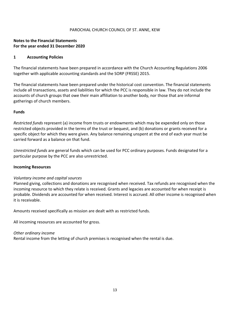# **Notes to the Financial Statements For the year ended 31 December 2020**

#### **1 Accounting Policies**

The financial statements have been prepared in accordance with the Church Accounting Regulations 2006 together with applicable accounting standards and the SORP (FRSSE) 2015.

The financial statements have been prepared under the historical cost convention. The financial statements include all transactions, assets and liabilities for which the PCC is responsible in law. They do not include the accounts of church groups that owe their main affiliation to another body, nor those that are informal gatherings of church members.

# **Funds**

*Restricted funds* represent (a) income from trusts or endowments which may be expended only on those restricted objects provided in the terms of the trust or bequest, and (b) donations or grants received for a specific object for which they were given. Any balance remaining unspent at the end of each year must be carried forward as a balance on that fund.

*Unrestricted funds* are general funds which can be used for PCC ordinary purposes. Funds designated for a particular purpose by the PCC are also unrestricted.

#### **Incoming Resources**

#### *Voluntary income and capital sources*

Planned giving, collections and donations are recognised when received. Tax refunds are recognised when the incoming resource to which they relate is received. Grants and legacies are accounted for when receipt is probable. Dividends are accounted for when received. Interest is accrued. All other income is recognised when it is receivable.

Amounts received specifically as mission are dealt with as restricted funds.

All incoming resources are accounted for gross.

#### *Other ordinary income*

Rental income from the letting of church premises is recognised when the rental is due.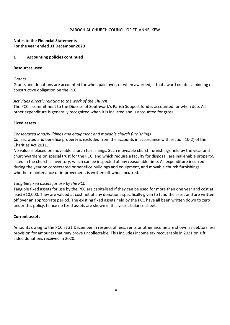# **Notes to the Financial Statements For the year ended 31 December 2020**

#### **1 Accounting policies continued**

#### **Resources used**

#### *Grants*

Grants and donations are accounted for when paid over, or when awarded, if that award creates a binding or constructive obligation on the PCC.

# *Activities directly relating to the work of the Church*

The PCC's commitment to the Diocese of Southwark's Parish Support fund is accounted for when due. All other expenditure is generally recognized when it is incurred and is accounted for gross.

# **Fixed assets**

# *Consecrated land/buildings and equipment and movable church furnishings*

Consecrated and benefice property is excluded from the accounts in accordance with section 10(2) of the Charities Act 2011.

No value is placed on moveable church furnishings. Such moveable church furnishings held by the vicar and churchwardens on special trust for the PCC, and which require a faculty for disposal, are inalienable property, listed in the church's inventory, which can be inspected at any reasonable time. All expenditure incurred during the year on consecrated or benefice buildings and equipment, and movable church furnishings, whether maintenance or improvement, is written off when incurred.

# *Tangible fixed assets for use by the PCC*

Tangible fixed assets for use by the PCC are capitalised if they can be used for more than one year and cost at least £10,000. They are valued at cost net of any donations specifically given to fund the asset and are written off over an appropriate period. The existing fixed assets held by the PCC have all been written down to zero under this policy, hence no fixed assets are shown in this year's balance sheet.

#### **Current assets**

Amounts owing to the PCC at 31 December in respect of fees, rents or other income are shown as debtors less provision for amounts that may prove uncollectable. This includes income tax recoverable in 2021 on gift aided donations received in 2020.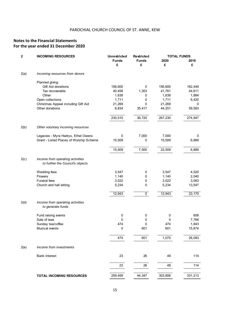# **Notes to the Financial Statements For the year ended 31 December 2020**

| $\mathbf 2$ | <b>INCOMING RESOURCES</b>                                            | <b>Unrestricted</b> | Restricted        | <b>TOTAL FUNDS</b> |           |  |
|-------------|----------------------------------------------------------------------|---------------------|-------------------|--------------------|-----------|--|
|             |                                                                      | <b>Funds</b><br>£   | <b>Funds</b><br>£ | 2020<br>£          | 2019<br>£ |  |
| 2(a)        | Incoming resources from donors                                       |                     |                   |                    |           |  |
|             | Planned giving:                                                      |                     |                   |                    |           |  |
|             | Gift Aid donations                                                   | 156,600             | 0                 | 156,600            | 162,449   |  |
|             | Tax recoverable                                                      | 40,458              | 1,303             | 41,761             | 44,611    |  |
|             | Other                                                                | 1,638               | 0                 | 1,638              | 1,884     |  |
|             | Open collections                                                     | 1,711               | 0                 | 1,711              | 6,420     |  |
|             | Christmas Appeal including Gift Aid                                  | 21,269              | 0                 | 21,269             | 0         |  |
|             | Other donations                                                      | 8,834               | 35,417            | 44,251             | 59,583    |  |
|             |                                                                      | 230,510             | 36,720            | 267,230            | 274,947   |  |
| 2(b)        | Other voluntary incoming resources                                   |                     |                   |                    |           |  |
|             |                                                                      |                     |                   |                    |           |  |
|             | Legacies - Myra Hadrys, Ethel Owens                                  | 0                   | 7,000             | 7,000              | 0         |  |
|             | Grant - Listed Places of Worship Scheme                              | 15,509              | 0                 | 15,509             | 6,889     |  |
|             |                                                                      | 15,509              | 7,000             | 22,509             | 6,889     |  |
| 2(c)        | Income from operating activities<br>to further the Council's objects |                     |                   |                    |           |  |
|             | Wedding fees                                                         | 3,547               | 0                 | 3,547              | 4,520     |  |
|             | Flowers                                                              | 1,140               | 0                 | 1,140              | 2,040     |  |
|             | Funeral fees                                                         | 3,022               | 0                 | 3,022              | 3,063     |  |
|             | Church and hall letting                                              | 5,234               | 0                 | 5,234              | 13,547    |  |
|             |                                                                      | 12,943              | $\overline{0}$    | 12,943             | 23,170    |  |
| 2(d)        | Income from operating activities<br>to generate funds                |                     |                   |                    |           |  |
|             | Fund raising events                                                  | 0                   | 0                 | 0                  | 608       |  |
|             | Sale of teas                                                         | 0                   | 0                 | 0                  | 7,768     |  |
|             | Sunday tea/coffee                                                    | 474                 | 0                 | 474                | 1,843     |  |
|             | Musical events                                                       | 0                   | 601               | 601                | 15,874    |  |
|             |                                                                      | 474                 | 601               | 1,075              | 26,093    |  |
| 2(e)        | Income from investments                                              |                     |                   |                    |           |  |
|             |                                                                      |                     |                   |                    |           |  |
|             | <b>Bank interest</b>                                                 | 23                  | 26                | 49                 | 114       |  |
|             |                                                                      | 23                  | 26                | 49                 | 114       |  |
|             | <b>TOTAL INCOMING RESOURCES</b>                                      | 259,459             | 44,347            | 303,806            | 331,213   |  |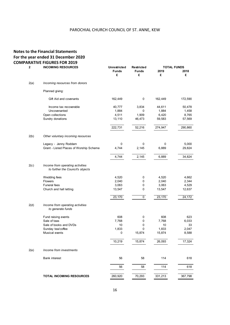# **Notes to the Financial Statements For the year ended 31 December 2020 COMPARATIVE FIGURES FOR 2019**

| 2    | <b>INCOMING RESOURCES</b>                                            | <b>Unrestricted</b> | Restricted        |           | <b>TOTAL FUNDS</b> |
|------|----------------------------------------------------------------------|---------------------|-------------------|-----------|--------------------|
|      |                                                                      | <b>Funds</b><br>£   | <b>Funds</b><br>£ | 2019<br>£ | 2018<br>£          |
| 2(a) | Incoming resources from donors                                       |                     |                   |           |                    |
|      | Planned giving:                                                      |                     |                   |           |                    |
|      | Gift Aid and covenants                                               | 162,449             | 0                 | 162,449   | 172,590            |
|      | Income tax recoverable                                               | 40,777              | 3,834             | 44,611    | 50,478             |
|      | Uncovenanted                                                         | 1,884               | 0                 | 1,884     | 1,458              |
|      | Open collections                                                     | 4,511               | 1,909             | 6,420     | 8,765              |
|      | Sundry donations                                                     | 13,110              | 46,473            | 59,583    | 57,569             |
|      |                                                                      | 222,731             | 52,216            | 274,947   | 290,860            |
| 2(b) | Other voluntary incoming resources                                   |                     |                   |           |                    |
|      | Legacy - Jenny Roddam                                                | 0                   | 0                 | 0         | 5,000              |
|      | Grant - Listed Places of Worship Scheme                              | 4,744               | 2,145             | 6,889     | 29,824             |
|      |                                                                      | 4,744               | 2,145             | 6,889     | 34,824             |
| 2(c) | Income from operating activities<br>to further the Council's objects |                     |                   |           |                    |
|      | Wedding fees                                                         | 4,520               | 0                 | 4,520     | 4,662              |
|      | <b>Flowers</b>                                                       | 2,040               | 0                 | 2,040     | 2,344              |
|      | <b>Funeral fees</b>                                                  | 3,063               | 0                 | 3,063     | 4,529              |
|      | Church and hall letting                                              | 13,547              | 0                 | 13,547    | 12,637             |
|      |                                                                      | 23,170              | $\mathsf{O}$      | 23,170    | 24,172             |
| 2(d) | Income from operating activities<br>to generate funds                |                     |                   |           |                    |
|      | Fund raising events                                                  | 608                 | 0                 | 608       | 623                |
|      | Sale of teas                                                         | 7,768               | 0                 | 7,768     | 6,033              |
|      | Sale of books and DVDs                                               | 10                  | 0                 | 10        | 33                 |
|      | Sunday tea/coffee                                                    | 1,833               | 0                 | 1,833     | 2,047              |
|      | Musical events                                                       | 0                   | 15,874            | 15,874    | 8,588              |
|      |                                                                      | 10,219              | 15,874            | 26,093    | 17,324             |
| 2(e) | Income from investments                                              |                     |                   |           |                    |
|      | <b>Bank interest</b>                                                 | 56                  | 58                | 114       | 618                |
|      |                                                                      | 56                  | 58                | 114       | 618                |
|      | <b>TOTAL INCOMING RESOURCES</b>                                      | 260,920             | 70,293            | 331,213   | 367,798            |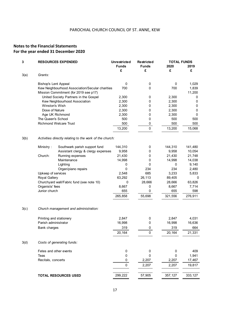# **Notes to the Financial Statements For the year ended 31 December 2020**

| 3    | <b>RESOURCES EXPENDED</b>   |                                                         | <b>Unrestricted</b> | <b>Restricted</b> | <b>TOTAL FUNDS</b> |         |
|------|-----------------------------|---------------------------------------------------------|---------------------|-------------------|--------------------|---------|
|      |                             |                                                         | <b>Funds</b>        | <b>Funds</b>      | 2020               | 2019    |
|      |                             |                                                         | £                   | £                 | £                  | £       |
| 3(a) | Grants:                     |                                                         |                     |                   |                    |         |
|      | <b>Bishop's Lent Appeal</b> |                                                         | 0                   | 0                 | 0                  | 1,029   |
|      |                             | Kew Neighbourhood Association/Secular charities         | 700                 | 0                 | 700                | 1,839   |
|      |                             | Mission Commitment (for 2019 see p17)                   |                     |                   |                    | 11,200  |
|      |                             | United Society Partners in the Gospel                   | 2,300               | 0                 | 2,300              | 0       |
|      |                             | Kew Neighbourhood Association                           | 2,300               | $\pmb{0}$         | 2,300              | 0       |
|      | Winston's Wish              |                                                         | 2,300               | 0                 | 2,300              | 0       |
|      | Dose of Nature              |                                                         | 2,300               | 0                 | 2,300              | 0       |
|      |                             | Age UK Richmond                                         | 2,300               | 0                 | 2,300              | 0       |
|      | The Queen's School          |                                                         | 500                 | 0                 | 500                | 500     |
|      |                             | <b>Richmond Welcare Trust</b>                           | 500                 | 0                 | 500                | 500     |
|      |                             |                                                         | 13,200              | 0                 | 13,200             | 15,068  |
| 3(b) |                             | Activities directly relating to the work of the church: |                     |                   |                    |         |
|      | Ministry:                   | Southwark parish support fund                           | 144,310             | 0                 | 144,310            | 141,480 |
|      |                             | Assistant clergy & clergy expenses                      | 9,958               | 0                 | 9,958              | 10,054  |
|      | Church:                     | Running expenses                                        | 21,430              | 0                 | 21,430             | 21,748  |
|      |                             | Maintenance                                             | 14,998              | 0                 | 14,998             | 14,038  |
|      |                             | Lighting                                                | 0                   | 0                 | 0                  | 9,140   |
|      |                             | Organ/piano repairs                                     | 0                   | 234               | 234                | 2,480   |
|      | Upkeep of services          |                                                         | 2,548               | 685               | 3,233              | 5,833   |
|      | <b>Royal Gallery</b>        |                                                         | 63,292              | 26,113            | 89,405             | 0       |
|      |                             | Churchyard wall/Fabric fund (see note 10)               | 0                   | 28,666            | 28,666             | 63,826  |
|      | Organists' fees             |                                                         | 8,667               | 0                 | 8,667              | 7,714   |
|      | Junior church               |                                                         | 655                 | 0                 | 655                | 598     |
|      |                             |                                                         | 265,858             | 55,698            | 321,556            | 276,911 |
| 3(c) |                             | Church management and administration:                   |                     |                   |                    |         |
|      |                             | Printing and stationery                                 | 2,847               | 0                 | 2,847              | 4,031   |
|      | Parish administrator        |                                                         | 16,998              | 0                 | 16,998             | 16,636  |
|      | <b>Bank charges</b>         |                                                         | 319                 | 0                 | 319                | 664     |
|      |                             |                                                         | 20,164              | 0                 | 20,164             | 21,331  |
| 3(d) |                             | Costs of generating funds:                              |                     |                   |                    |         |
|      |                             | Fetes and other events                                  | $\pmb{0}$           | 0                 | 0                  | 409     |
|      | Teas                        |                                                         | 0                   | 0                 | 0                  | 1,941   |
|      | Recitals, concerts          |                                                         | 0                   | 2,207             | 2,207              | 17,467  |
|      |                             |                                                         | $\mathbf 0$         | 2,207             | 2,207              | 19,817  |
|      |                             |                                                         |                     |                   |                    |         |
|      |                             | <b>TOTAL RESOURCES USED</b>                             | 299,222             | 57,905            | 357,127            | 333,127 |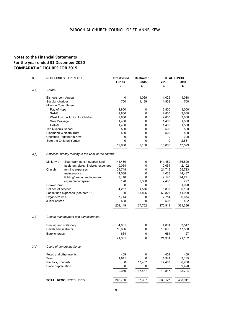# **Notes to the Financial Statements For the year ended 31 December 2020 COMPARATIVE FIGURES FOR 2019**

| 3    | <b>RESOURCES EXPENDED</b> |                                                         | <b>Unrestricted</b> | Restricted   | <b>TOTAL FUNDS</b> |         |
|------|---------------------------|---------------------------------------------------------|---------------------|--------------|--------------------|---------|
|      |                           |                                                         | <b>Funds</b>        | <b>Funds</b> | 2019               | 2018    |
|      |                           |                                                         | £                   | £            | £                  | £       |
| 3(a) | Grants:                   |                                                         |                     |              |                    |         |
|      | Bishop's Lent Appeal      |                                                         | 0                   | 1,029        | 1,029              | 1,018   |
|      | Secular charities         |                                                         | 700                 | 1,139        | 1,839              | 700     |
|      | <b>Mission Commitment</b> |                                                         |                     |              |                    |         |
|      | Ray of Hope               |                                                         | 2,800               | 0            | 2,800              | 3,000   |
|      | SANE                      |                                                         | 2,800               | 0            | 2,800              | 3,000   |
|      |                           | West London Action for Children                         | 2,800               | 0            | 2,800              | 3,000   |
|      | Safe Passage              |                                                         | 1,400               | 0            | 1,400              | 1,500   |
|      | <b>CARAS</b>              |                                                         | 1,400               | 0            | 1,400              | 1,500   |
|      | The Queen's School        |                                                         | 500                 | 0            | 500                | 500     |
|      |                           | <b>Richmond Welcare Trust</b>                           | 500                 | 0            | 500                | 500     |
|      |                           | Churches Together in Kew                                | 0                   | 0            | 0                  | 300     |
|      |                           | Save the Children Yemen                                 | 0                   | 0            | 0                  | 2,581   |
|      |                           |                                                         | 12,900              | 2,168        | 15,068             | 17,599  |
| 3(b) |                           | Activities directly relating to the work of the church: |                     |              |                    |         |
|      | Ministry :                | Southwark parish support fund                           | 141,480             | 0            | 141,480            | 136,800 |
|      |                           | assistant clergy & clergy expenses                      | 10,054              | 0            | 10,054             | 2,102   |
|      | Church:                   | running expenses                                        | 21,748              | 0            | 21,748             | 25,723  |
|      |                           | maintenance                                             | 14,038              | 0            | 14,038             | 14,437  |
|      |                           | lighting/heating replacement                            | 9,140               | 0            | 9,140              | 144,271 |
|      |                           | organ/piano repairs                                     | 120                 | 2,360        | 2,480              | 797     |
|      | Hooker tomb               |                                                         | 0                   | 0            | 0                  | 1,998   |
|      | Upkeep of services        |                                                         | 4,257               | 1,576        | 5,833              | 6,193   |
|      |                           | Fabric fund expenses (see note 11)                      | 0                   | 63,826       | 63,826             | 41,909  |
|      | Organists' fees           |                                                         | 7,714               | 0            | 7,714              | 6,674   |
|      | Junior church             |                                                         | 598                 | 0            | 598                | 482     |
|      |                           |                                                         | 209,149             | 67,762       | 276,911            | 381,386 |
| 3(c) |                           | Church management and administration:                   |                     |              |                    |         |
|      | Printing and stationery   |                                                         | 4,031               | 0            | 4,031              | 3,547   |
|      | Parish administrator      |                                                         | 16,636              | 0            | 16,636             | 17,558  |
|      |                           |                                                         | 664                 |              | 664                | 27      |
|      | Bank charges              |                                                         |                     | 0            |                    |         |
|      |                           |                                                         | 21,331              | 0            | 21,331             | 21,132  |
| 3(d) |                           | Costs of generating funds:                              |                     |              |                    |         |
|      | Fetes and other events    |                                                         | 409                 | 0            | 409                | 409     |
|      | Teas                      |                                                         | 1,941               | 0            | 1,941              | 2,185   |
|      | Recitals, concerts        |                                                         | 0                   | 17,467       | 17,467             | 6,780   |
|      | Piano depreciation        |                                                         | 0                   | 0            | 0                  | 9,420   |
|      |                           |                                                         | 2,350               | 17,467       | 19,817             | 18,794  |
|      |                           | <b>TOTAL RESOURCES USED</b>                             | 245,730             | 87,397       | 333,127            | 438,911 |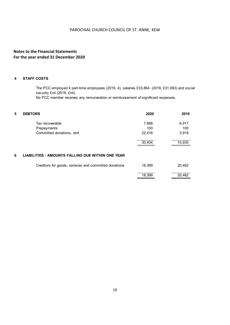# **Notes to the Financial Statements For the year ended 31 December 2020**

#### **4 STAFF COSTS**

The PCC employed 4 part-time employees (2019, 4), salaries £33,864 (2019, £31,693) and social security £nil (2019, £nil).

No PCC member receives any remuneration or reimbursement of significant expenses.

| 5 | <b>DEBTORS</b>                                        | 2020   | 2019   |
|---|-------------------------------------------------------|--------|--------|
|   | Tax recoverable                                       | 7,888  | 6,917  |
|   | Prepayments                                           | 100    | 100    |
|   | Committed donations, rent                             | 22,416 | 3,918  |
|   |                                                       | 30,404 | 10,935 |
| 6 | LIABILITIES: AMOUNTS FALLING DUE WITHIN ONE YEAR      |        |        |
|   | Creditors for goods, services and committed donations | 18,399 | 20,462 |
|   |                                                       | 18,399 | 20,462 |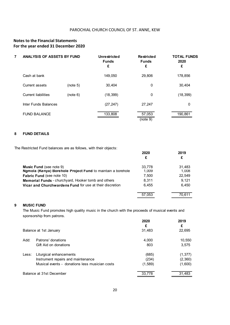# **Notes to the Financial Statements For the year ended 31 December 2020**

| 7 | ANALYSIS OF ASSETS BY FUND |          | Unrestricted<br><b>Funds</b><br>£ | Restricted<br><b>Funds</b><br>£ | <b>TOTAL FUNDS</b><br>2020<br>£ |
|---|----------------------------|----------|-----------------------------------|---------------------------------|---------------------------------|
|   | Cash at bank               |          | 149,050                           | 29,806                          | 178,856                         |
|   | <b>Current assets</b>      | (note 5) | 30.404                            | 0                               | 30,404                          |
|   | <b>Current liabilities</b> | (note 6) | (18, 399)                         | $\mathbf 0$                     | (18, 399)                       |
|   | Inter Funds Balances       |          | (27, 247)                         | 27,247                          | 0                               |
|   | <b>FUND BALANCE</b>        |          | 133,808                           | 57,053<br>(note 9)              | 190.861                         |

#### **8 FUND DETAILS**

The Restricted Fund balances are as follows, with their objects:

|                                                             | 2020   | 2019   |
|-------------------------------------------------------------|--------|--------|
|                                                             | £      | £      |
| <b>Music Fund (see note 9)</b>                              | 33.778 | 31,483 |
| Ngmola (Kenya) Borehole Project Fund to maintain a borehole | 1,009  | 1.008  |
| <b>Fabric Fund (see note 10)</b>                            | 7,500  | 22.549 |
| Memorial Funds - churchyard, Hooker tomb and others         | 8.311  | 9.121  |
| Vicar and Churchwardens Fund for use at their discretion    | 6.455  | 6,450  |
|                                                             |        |        |
|                                                             | 57,053 | 70.611 |

# **9 MUSIC FUND**

The Music Fund promotes high quality music in the church with the proceeds of musical events and sponsorship from patrons.

|       |                                                | 2020<br>£ | 2019<br>£ |
|-------|------------------------------------------------|-----------|-----------|
|       | Balance at 1st January                         | 31,483    | 22,695    |
| Add:  | Patrons' donations                             | 4,000     | 10,550    |
|       | Gift Aid on donations                          | 803       | 3,575     |
| Less: | Liturgical enhancements                        | (685)     | (1, 377)  |
|       | Instrument repairs and maintenance             | (234)     | (2,360)   |
|       | Musical events - donations less musician costs | (1,589)   | (1,600)   |
|       | Balance at 31st December                       | 33,778    | 31,483    |